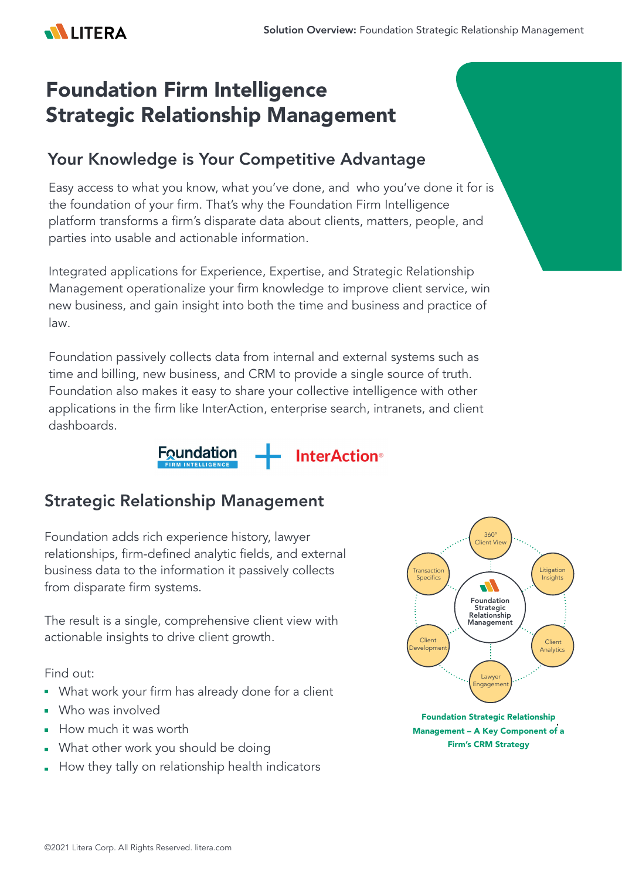

# Foundation Firm Intelligence Strategic Relationship Management

## Your Knowledge is Your Competitive Advantage

Easy access to what you know, what you've done, and who you've done it for is the foundation of your firm. That's why the Foundation Firm Intelligence platform transforms a firm's disparate data about clients, matters, people, and parties into usable and actionable information.

Integrated applications for Experience, Expertise, and Strategic Relationship Management operationalize your firm knowledge to improve client service, win new business, and gain insight into both the time and business and practice of law.

Foundation passively collects data from internal and external systems such as time and billing, new business, and CRM to provide a single source of truth. Foundation also makes it easy to share your collective intelligence with other applications in the firm like InterAction, enterprise search, intranets, and client dashboards.



### Strategic Relationship Management

Foundation adds rich experience history, lawyer relationships, firm-defined analytic fields, and external business data to the information it passively collects from disparate firm systems.

The result is a single, comprehensive client view with actionable insights to drive client growth.

Find out:

- **What work your firm has already done for a client**
- **Who was involved**
- How much it was worth
- What other work you should be doing  $\blacksquare$
- How they tally on relationship health indicators  $\mathbf{r}$



Foundation Strategic Relationship Management – A Key Component of a . Firm's CRM Strategy